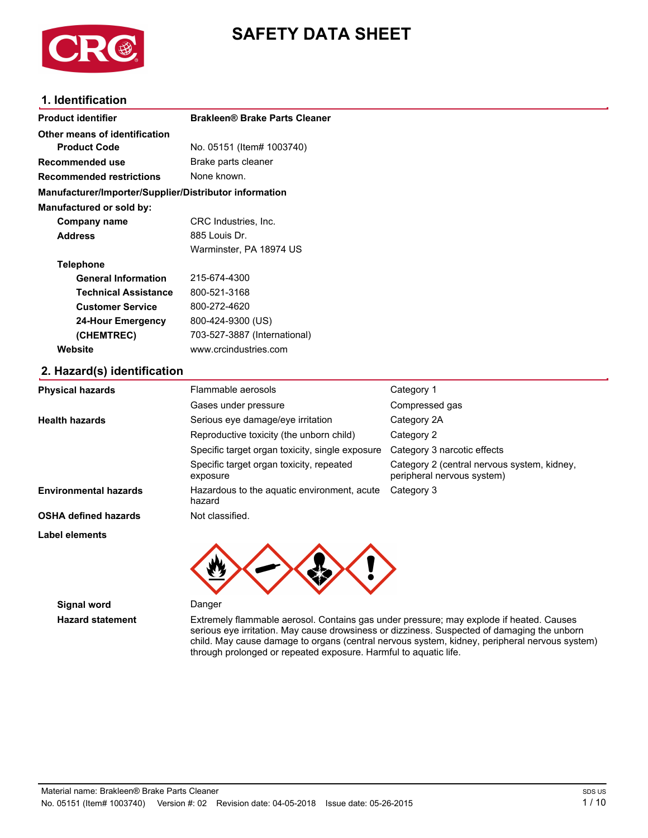

# **SAFETY DATA SHEET**

# **1. Identification**

| <b>Product identifier</b>                              | <b>Brakleen® Brake Parts Cleaner</b> |
|--------------------------------------------------------|--------------------------------------|
| Other means of identification                          |                                      |
| <b>Product Code</b>                                    | No. 05151 (Item# 1003740)            |
| Recommended use                                        | Brake parts cleaner                  |
| <b>Recommended restrictions</b>                        | None known.                          |
| Manufacturer/Importer/Supplier/Distributor information |                                      |
| Manufactured or sold by:                               |                                      |
| Company name                                           | CRC Industries, Inc.                 |
| <b>Address</b>                                         | 885 Louis Dr.                        |
|                                                        | Warminster, PA 18974 US              |
| <b>Telephone</b>                                       |                                      |
| <b>General Information</b>                             | 215-674-4300                         |
| <b>Technical Assistance</b>                            | 800-521-3168                         |
| <b>Customer Service</b>                                | 800-272-4620                         |
| 24-Hour Emergency                                      | 800-424-9300 (US)                    |
| (CHEMTREC)                                             | 703-527-3887 (International)         |
| Website                                                | www.crcindustries.com                |
| 2. Hazard(s) identification                            |                                      |

| <b>Physical hazards</b>      | Flammable aerosols                                    | Category 1                                                                |
|------------------------------|-------------------------------------------------------|---------------------------------------------------------------------------|
|                              | Gases under pressure                                  | Compressed gas                                                            |
| <b>Health hazards</b>        | Serious eye damage/eye irritation                     | Category 2A                                                               |
|                              | Reproductive toxicity (the unborn child)              | Category 2                                                                |
|                              | Specific target organ toxicity, single exposure       | Category 3 narcotic effects                                               |
|                              | Specific target organ toxicity, repeated<br>exposure  | Category 2 (central nervous system, kidney,<br>peripheral nervous system) |
| <b>Environmental hazards</b> | Hazardous to the aquatic environment, acute<br>hazard | Category 3                                                                |
| <b>OSHA defined hazards</b>  | Not classified.                                       |                                                                           |
| <b>Label elements</b>        |                                                       |                                                                           |
|                              |                                                       |                                                                           |

**Signal word** Danger

**Eazard statement** Extremely flammable aerosol. Contains gas under pressure; may explode if heated. Causes serious eye irritation. May cause drowsiness or dizziness. Suspected of damaging the unborn child. May cause damage to organs (central nervous system, kidney, peripheral nervous system) through prolonged or repeated exposure. Harmful to aquatic life.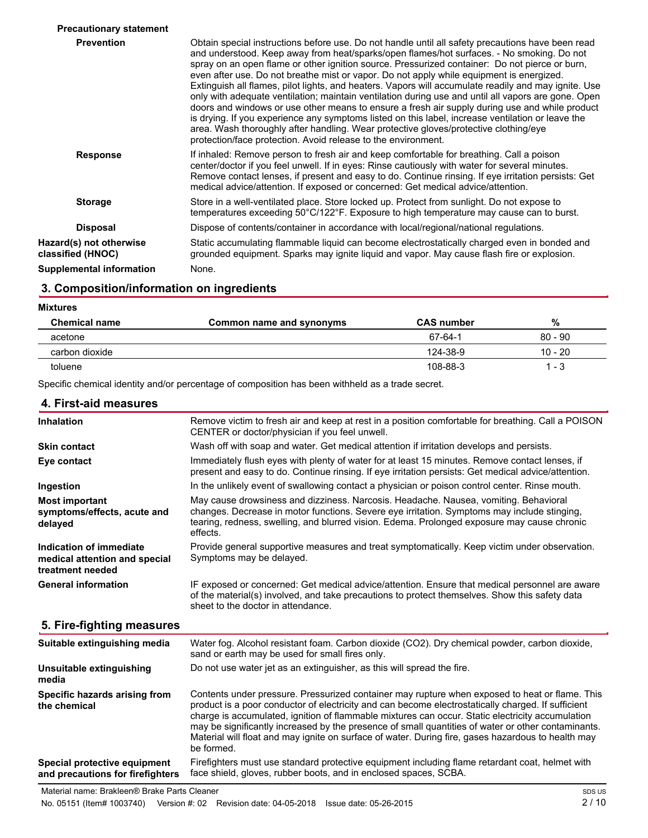| <b>Precautionary statement</b>               |                                                                                                                                                                                                                                                                                                                                                                                                                                                                                                                                                                                                                                                                                                                                                                                                                                                                                                                                                                             |
|----------------------------------------------|-----------------------------------------------------------------------------------------------------------------------------------------------------------------------------------------------------------------------------------------------------------------------------------------------------------------------------------------------------------------------------------------------------------------------------------------------------------------------------------------------------------------------------------------------------------------------------------------------------------------------------------------------------------------------------------------------------------------------------------------------------------------------------------------------------------------------------------------------------------------------------------------------------------------------------------------------------------------------------|
| <b>Prevention</b>                            | Obtain special instructions before use. Do not handle until all safety precautions have been read<br>and understood. Keep away from heat/sparks/open flames/hot surfaces. - No smoking. Do not<br>spray on an open flame or other ignition source. Pressurized container: Do not pierce or burn,<br>even after use. Do not breathe mist or vapor. Do not apply while equipment is energized.<br>Extinguish all flames, pilot lights, and heaters. Vapors will accumulate readily and may ignite. Use<br>only with adequate ventilation; maintain ventilation during use and until all vapors are gone. Open<br>doors and windows or use other means to ensure a fresh air supply during use and while product<br>is drying. If you experience any symptoms listed on this label, increase ventilation or leave the<br>area. Wash thoroughly after handling. Wear protective gloves/protective clothing/eye<br>protection/face protection. Avoid release to the environment. |
| <b>Response</b>                              | If inhaled: Remove person to fresh air and keep comfortable for breathing. Call a poison<br>center/doctor if you feel unwell. If in eyes: Rinse cautiously with water for several minutes.<br>Remove contact lenses, if present and easy to do. Continue rinsing. If eye irritation persists: Get<br>medical advice/attention. If exposed or concerned: Get medical advice/attention.                                                                                                                                                                                                                                                                                                                                                                                                                                                                                                                                                                                       |
| <b>Storage</b>                               | Store in a well-ventilated place. Store locked up. Protect from sunlight. Do not expose to<br>temperatures exceeding 50°C/122°F. Exposure to high temperature may cause can to burst.                                                                                                                                                                                                                                                                                                                                                                                                                                                                                                                                                                                                                                                                                                                                                                                       |
| <b>Disposal</b>                              | Dispose of contents/container in accordance with local/regional/national regulations.                                                                                                                                                                                                                                                                                                                                                                                                                                                                                                                                                                                                                                                                                                                                                                                                                                                                                       |
| Hazard(s) not otherwise<br>classified (HNOC) | Static accumulating flammable liquid can become electrostatically charged even in bonded and<br>grounded equipment. Sparks may ignite liquid and vapor. May cause flash fire or explosion.                                                                                                                                                                                                                                                                                                                                                                                                                                                                                                                                                                                                                                                                                                                                                                                  |
| <b>Supplemental information</b>              | None.                                                                                                                                                                                                                                                                                                                                                                                                                                                                                                                                                                                                                                                                                                                                                                                                                                                                                                                                                                       |

# **3. Composition/information on ingredients**

| <b>Mixtures</b>      |                          |                   |           |
|----------------------|--------------------------|-------------------|-----------|
| <b>Chemical name</b> | Common name and synonyms | <b>CAS number</b> | %         |
| acetone              |                          | 67-64-1           | $80 - 90$ |
| carbon dioxide       |                          | 124-38-9          | $10 - 20$ |
| toluene              |                          | 108-88-3          | $1 - 3$   |

Specific chemical identity and/or percentage of composition has been withheld as a trade secret.

| 4. First-aid measures                                                        |                                                                                                                                                                                                                                                                                                                                                                                                                                                                                                                                    |
|------------------------------------------------------------------------------|------------------------------------------------------------------------------------------------------------------------------------------------------------------------------------------------------------------------------------------------------------------------------------------------------------------------------------------------------------------------------------------------------------------------------------------------------------------------------------------------------------------------------------|
| <b>Inhalation</b>                                                            | Remove victim to fresh air and keep at rest in a position comfortable for breathing. Call a POISON<br>CENTER or doctor/physician if you feel unwell.                                                                                                                                                                                                                                                                                                                                                                               |
| <b>Skin contact</b>                                                          | Wash off with soap and water. Get medical attention if irritation develops and persists.                                                                                                                                                                                                                                                                                                                                                                                                                                           |
| Eye contact                                                                  | Immediately flush eyes with plenty of water for at least 15 minutes. Remove contact lenses, if<br>present and easy to do. Continue rinsing. If eye irritation persists: Get medical advice/attention.                                                                                                                                                                                                                                                                                                                              |
| Ingestion                                                                    | In the unlikely event of swallowing contact a physician or poison control center. Rinse mouth.                                                                                                                                                                                                                                                                                                                                                                                                                                     |
| <b>Most important</b><br>symptoms/effects, acute and<br>delayed              | May cause drowsiness and dizziness. Narcosis. Headache. Nausea, vomiting. Behavioral<br>changes. Decrease in motor functions. Severe eye irritation. Symptoms may include stinging,<br>tearing, redness, swelling, and blurred vision. Edema. Prolonged exposure may cause chronic<br>effects.                                                                                                                                                                                                                                     |
| Indication of immediate<br>medical attention and special<br>treatment needed | Provide general supportive measures and treat symptomatically. Keep victim under observation.<br>Symptoms may be delayed.                                                                                                                                                                                                                                                                                                                                                                                                          |
| <b>General information</b>                                                   | IF exposed or concerned: Get medical advice/attention. Ensure that medical personnel are aware<br>of the material(s) involved, and take precautions to protect themselves. Show this safety data<br>sheet to the doctor in attendance.                                                                                                                                                                                                                                                                                             |
| 5. Fire-fighting measures                                                    |                                                                                                                                                                                                                                                                                                                                                                                                                                                                                                                                    |
| Suitable extinguishing media                                                 | Water fog. Alcohol resistant foam. Carbon dioxide (CO2). Dry chemical powder, carbon dioxide,<br>sand or earth may be used for small fires only.                                                                                                                                                                                                                                                                                                                                                                                   |
| Unsuitable extinguishing<br>media                                            | Do not use water jet as an extinguisher, as this will spread the fire.                                                                                                                                                                                                                                                                                                                                                                                                                                                             |
| Specific hazards arising from<br>the chemical                                | Contents under pressure. Pressurized container may rupture when exposed to heat or flame. This<br>product is a poor conductor of electricity and can become electrostatically charged. If sufficient<br>charge is accumulated, ignition of flammable mixtures can occur. Static electricity accumulation<br>may be significantly increased by the presence of small quantities of water or other contaminants.<br>Material will float and may ignite on surface of water. During fire, gases hazardous to health may<br>be formed. |
| Special protective equipment<br>and precautions for firefighters             | Firefighters must use standard protective equipment including flame retardant coat, helmet with<br>face shield, gloves, rubber boots, and in enclosed spaces, SCBA.                                                                                                                                                                                                                                                                                                                                                                |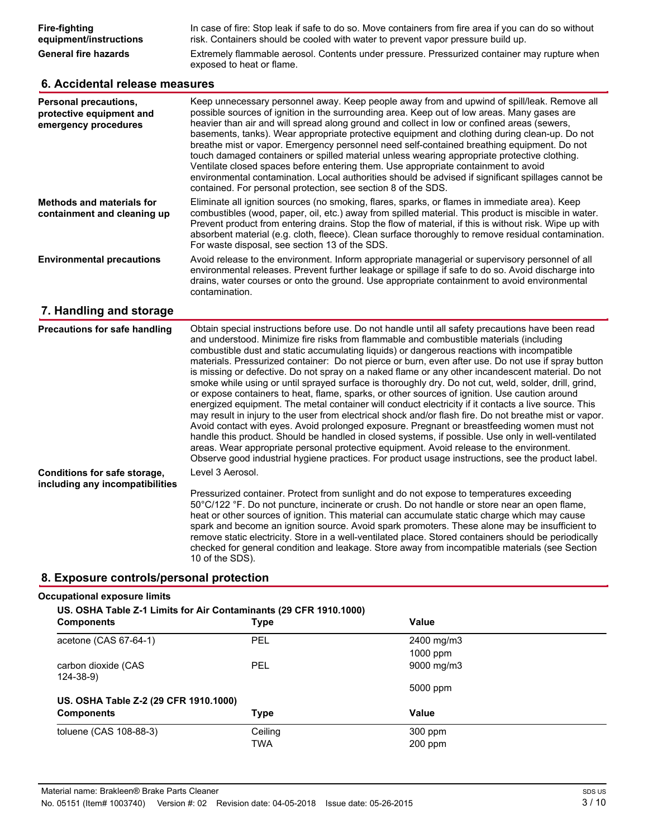### **6. Accidental release measures**

| Personal precautions,<br>protective equipment and<br>emergency procedures | Keep unnecessary personnel away. Keep people away from and upwind of spill/leak. Remove all<br>possible sources of ignition in the surrounding area. Keep out of low areas. Many gases are<br>heavier than air and will spread along ground and collect in low or confined areas (sewers,<br>basements, tanks). Wear appropriate protective equipment and clothing during clean-up. Do not<br>breathe mist or vapor. Emergency personnel need self-contained breathing equipment. Do not<br>touch damaged containers or spilled material unless wearing appropriate protective clothing.<br>Ventilate closed spaces before entering them. Use appropriate containment to avoid<br>environmental contamination. Local authorities should be advised if significant spillages cannot be<br>contained. For personal protection, see section 8 of the SDS. |
|---------------------------------------------------------------------------|--------------------------------------------------------------------------------------------------------------------------------------------------------------------------------------------------------------------------------------------------------------------------------------------------------------------------------------------------------------------------------------------------------------------------------------------------------------------------------------------------------------------------------------------------------------------------------------------------------------------------------------------------------------------------------------------------------------------------------------------------------------------------------------------------------------------------------------------------------|
| <b>Methods and materials for</b><br>containment and cleaning up           | Eliminate all ignition sources (no smoking, flares, sparks, or flames in immediate area). Keep<br>combustibles (wood, paper, oil, etc.) away from spilled material. This product is miscible in water.<br>Prevent product from entering drains. Stop the flow of material, if this is without risk. Wipe up with<br>absorbent material (e.g. cloth, fleece). Clean surface thoroughly to remove residual contamination.<br>For waste disposal, see section 13 of the SDS.                                                                                                                                                                                                                                                                                                                                                                              |
| <b>Environmental precautions</b>                                          | Avoid release to the environment. Inform appropriate managerial or supervisory personnel of all<br>environmental releases. Prevent further leakage or spillage if safe to do so. Avoid discharge into<br>drains, water courses or onto the ground. Use appropriate containment to avoid environmental<br>contamination.                                                                                                                                                                                                                                                                                                                                                                                                                                                                                                                                |

# **7. Eandling and storage**

| <b>Precautions for safe handling</b>                            | Obtain special instructions before use. Do not handle until all safety precautions have been read<br>and understood. Minimize fire risks from flammable and combustible materials (including<br>combustible dust and static accumulating liquids) or dangerous reactions with incompatible<br>materials. Pressurized container: Do not pierce or burn, even after use. Do not use if spray button<br>is missing or defective. Do not spray on a naked flame or any other incandescent material. Do not<br>smoke while using or until sprayed surface is thoroughly dry. Do not cut, weld, solder, drill, grind,<br>or expose containers to heat, flame, sparks, or other sources of ignition. Use caution around<br>energized equipment. The metal container will conduct electricity if it contacts a live source. This<br>may result in injury to the user from electrical shock and/or flash fire. Do not breathe mist or vapor.<br>Avoid contact with eyes. Avoid prolonged exposure. Pregnant or breastfeeding women must not<br>handle this product. Should be handled in closed systems, if possible. Use only in well-ventilated<br>areas. Wear appropriate personal protective equipment. Avoid release to the environment.<br>Observe good industrial hygiene practices. For product usage instructions, see the product label. |
|-----------------------------------------------------------------|-------------------------------------------------------------------------------------------------------------------------------------------------------------------------------------------------------------------------------------------------------------------------------------------------------------------------------------------------------------------------------------------------------------------------------------------------------------------------------------------------------------------------------------------------------------------------------------------------------------------------------------------------------------------------------------------------------------------------------------------------------------------------------------------------------------------------------------------------------------------------------------------------------------------------------------------------------------------------------------------------------------------------------------------------------------------------------------------------------------------------------------------------------------------------------------------------------------------------------------------------------------------------------------------------------------------------------------------|
| Conditions for safe storage,<br>including any incompatibilities | Level 3 Aerosol.<br>Pressurized container. Protect from sunlight and do not expose to temperatures exceeding<br>50°C/122 °F. Do not puncture, incinerate or crush. Do not handle or store near an open flame,<br>heat or other sources of ignition. This material can accumulate static charge which may cause<br>spark and become an ignition source. Avoid spark promoters. These alone may be insufficient to<br>remove static electricity. Store in a well-ventilated place. Stored containers should be periodically<br>checked for general condition and leakage. Store away from incompatible materials (see Section<br>10 of the SDS).                                                                                                                                                                                                                                                                                                                                                                                                                                                                                                                                                                                                                                                                                            |

#### **8. Exposure controls/personal protection**

#### **Occupational exposure limits**

| US. OSHA Table Z-1 Limits for Air Contaminants (29 CFR 1910.1000)<br><b>Components</b> | <b>Type</b> | Value      |
|----------------------------------------------------------------------------------------|-------------|------------|
| acetone (CAS 67-64-1)                                                                  | <b>PEL</b>  | 2400 mg/m3 |
|                                                                                        |             | $1000$ ppm |
| carbon dioxide (CAS<br>$124 - 38 - 9$                                                  | PEL         | 9000 mg/m3 |
|                                                                                        |             | 5000 ppm   |
| US. OSHA Table Z-2 (29 CFR 1910.1000)                                                  |             |            |
| <b>Components</b>                                                                      | <b>Type</b> | Value      |
| toluene (CAS 108-88-3)                                                                 | Ceiling     | $300$ ppm  |
|                                                                                        | TWA         | $200$ ppm  |
|                                                                                        |             |            |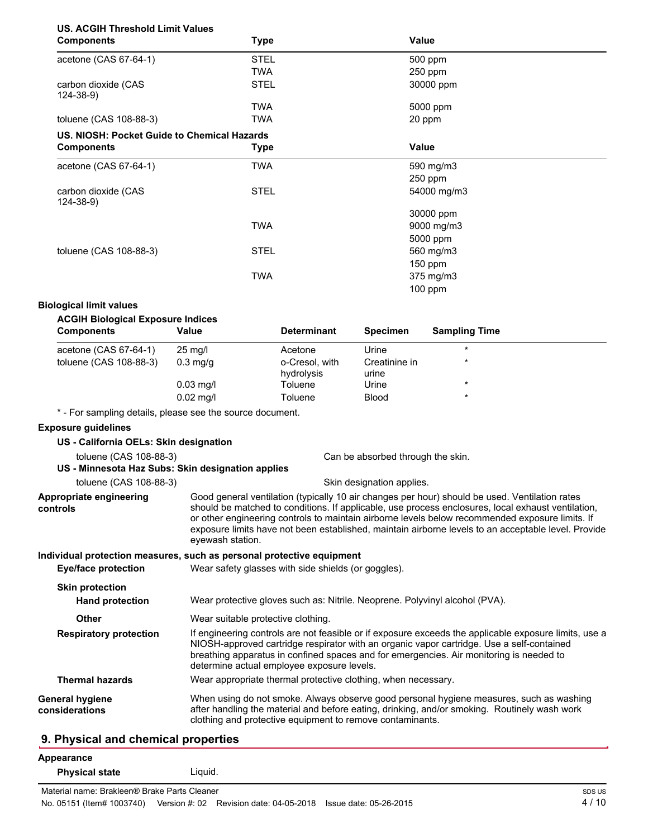# **US. ACGIH Threshold Limit Values**

| <b>Components</b>                           | <b>Type</b> | Value       |  |
|---------------------------------------------|-------------|-------------|--|
| acetone (CAS 67-64-1)                       | <b>STEL</b> | 500 ppm     |  |
|                                             | <b>TWA</b>  | 250 ppm     |  |
| carbon dioxide (CAS<br>124-38-9)            | <b>STEL</b> | 30000 ppm   |  |
|                                             | <b>TWA</b>  | 5000 ppm    |  |
| toluene (CAS 108-88-3)                      | <b>TWA</b>  | 20 ppm      |  |
| US. NIOSH: Pocket Guide to Chemical Hazards |             |             |  |
| <b>Components</b>                           | Type        | Value       |  |
| acetone (CAS 67-64-1)                       | <b>TWA</b>  | 590 mg/m3   |  |
|                                             |             | 250 ppm     |  |
| carbon dioxide (CAS<br>124-38-9)            | <b>STEL</b> | 54000 mg/m3 |  |
|                                             |             | 30000 ppm   |  |
|                                             | <b>TWA</b>  | 9000 mg/m3  |  |
|                                             |             | 5000 ppm    |  |
| toluene (CAS 108-88-3)                      | <b>STEL</b> | 560 mg/m3   |  |
|                                             |             | 150 ppm     |  |
|                                             | <b>TWA</b>  | 375 mg/m3   |  |
|                                             |             | 100 ppm     |  |

#### **Biological limit values**

| <b>Components</b>      | Value              | <b>Determinant</b>           | <b>Specimen</b>        | <b>Sampling Time</b> |  |
|------------------------|--------------------|------------------------------|------------------------|----------------------|--|
| acetone (CAS 67-64-1)  | $25 \text{ mg/l}$  | Acetone                      | Urine                  | $\star$              |  |
| toluene (CAS 108-88-3) | $0.3 \text{ mq/q}$ | o-Cresol, with<br>hydrolysis | Creatinine in<br>urine | $\star$              |  |
|                        | $0.03$ mg/l        | Toluene                      | Urine                  | $\star$              |  |
|                        | $0.02$ mg/l        | Toluene                      | <b>Blood</b>           | $\star$              |  |

\* - For sampling details, please see the source document.

#### **Exposure guidelines**

| US - California OELs: Skin designation            |                                                                                                                                                                                                                                                                                                                                                                                                                                    |  |
|---------------------------------------------------|------------------------------------------------------------------------------------------------------------------------------------------------------------------------------------------------------------------------------------------------------------------------------------------------------------------------------------------------------------------------------------------------------------------------------------|--|
| toluene (CAS 108-88-3)                            | Can be absorbed through the skin.                                                                                                                                                                                                                                                                                                                                                                                                  |  |
| US - Minnesota Haz Subs: Skin designation applies |                                                                                                                                                                                                                                                                                                                                                                                                                                    |  |
| toluene (CAS 108-88-3)                            | Skin designation applies.                                                                                                                                                                                                                                                                                                                                                                                                          |  |
| Appropriate engineering<br>controls               | Good general ventilation (typically 10 air changes per hour) should be used. Ventilation rates<br>should be matched to conditions. If applicable, use process enclosures, local exhaust ventilation,<br>or other engineering controls to maintain airborne levels below recommended exposure limits. If<br>exposure limits have not been established, maintain airborne levels to an acceptable level. Provide<br>eyewash station. |  |
|                                                   | Individual protection measures, such as personal protective equipment                                                                                                                                                                                                                                                                                                                                                              |  |
| Eye/face protection                               | Wear safety glasses with side shields (or goggles).                                                                                                                                                                                                                                                                                                                                                                                |  |
| <b>Skin protection</b>                            |                                                                                                                                                                                                                                                                                                                                                                                                                                    |  |
| <b>Hand protection</b>                            | Wear protective gloves such as: Nitrile. Neoprene. Polyvinyl alcohol (PVA).                                                                                                                                                                                                                                                                                                                                                        |  |
| Other                                             | Wear suitable protective clothing.                                                                                                                                                                                                                                                                                                                                                                                                 |  |
| <b>Respiratory protection</b>                     | If engineering controls are not feasible or if exposure exceeds the applicable exposure limits, use a<br>NIOSH-approved cartridge respirator with an organic vapor cartridge. Use a self-contained<br>breathing apparatus in confined spaces and for emergencies. Air monitoring is needed to<br>determine actual employee exposure levels.                                                                                        |  |
| <b>Thermal hazards</b>                            | Wear appropriate thermal protective clothing, when necessary.                                                                                                                                                                                                                                                                                                                                                                      |  |
| <b>General hygiene</b><br>considerations          | When using do not smoke. Always observe good personal hygiene measures, such as washing<br>after handling the material and before eating, drinking, and/or smoking. Routinely wash work<br>clothing and protective equipment to remove contaminants.                                                                                                                                                                               |  |
| <b>Q.</b> Physical and chamical proporting        |                                                                                                                                                                                                                                                                                                                                                                                                                                    |  |

### **9. Physical and chemical properties**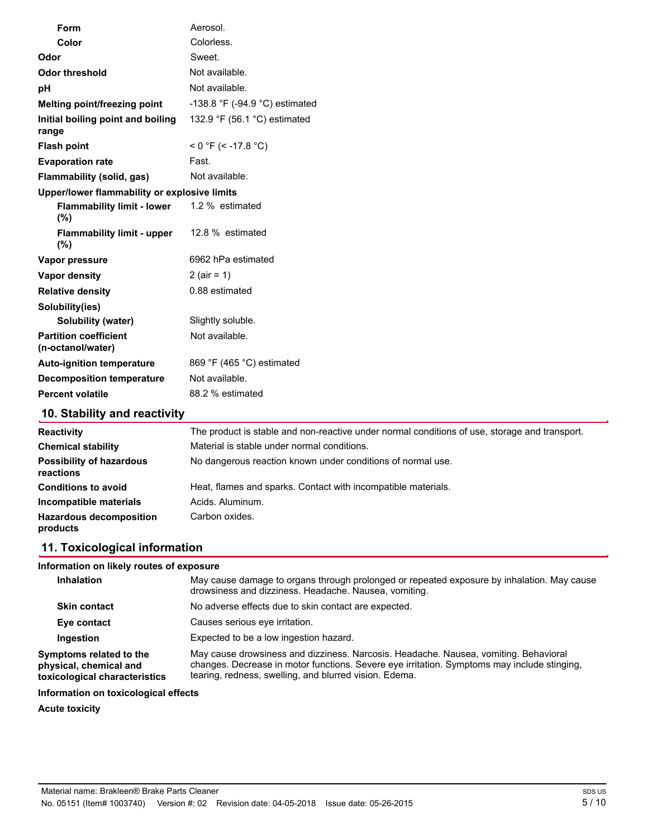| Form                                              | Aerosol.                       |
|---------------------------------------------------|--------------------------------|
| Color                                             | Colorless.                     |
| Odor                                              | Sweet.                         |
| <b>Odor threshold</b>                             | Not available.                 |
| pH                                                | Not available.                 |
| Melting point/freezing point                      | -138.8 °F (-94.9 °C) estimated |
| Initial boiling point and boiling<br>range        | 132.9 °F (56.1 °C) estimated   |
| <b>Flash point</b>                                | $<$ 0 °F (< -17.8 °C)          |
| <b>Evaporation rate</b>                           | Fast.                          |
| Flammability (solid, gas)                         | Not available.                 |
| Upper/lower flammability or explosive limits      |                                |
| <b>Flammability limit - lower</b><br>(%)          | 1.2 % estimated                |
| <b>Flammability limit - upper</b><br>(%)          | 12.8 % estimated               |
| Vapor pressure                                    | 6962 hPa estimated             |
| Vapor density                                     | 2 (air = $1$ )                 |
| <b>Relative density</b>                           | 0.88 estimated                 |
| Solubility(ies)                                   |                                |
| Solubility (water)                                | Slightly soluble.              |
| <b>Partition coefficient</b><br>(n-octanol/water) | Not available.                 |
| <b>Auto-ignition temperature</b>                  | 869 °F (465 °C) estimated      |
| <b>Decomposition temperature</b>                  | Not available.                 |
| <b>Percent volatile</b>                           | 88.2 % estimated               |
| 10. Stability and reactivity                      |                                |

| The product is stable and non-reactive under normal conditions of use, storage and transport. |
|-----------------------------------------------------------------------------------------------|
| Material is stable under normal conditions.                                                   |
| No dangerous reaction known under conditions of normal use.                                   |
| Heat, flames and sparks. Contact with incompatible materials.                                 |
| Acids, Aluminum.                                                                              |
| Carbon oxides.                                                                                |
|                                                                                               |

# **11. Toxicological information**

### **Information on likely routes of exposure**

| Inhalation                                                                         | May cause damage to organs through prolonged or repeated exposure by inhalation. May cause<br>drowsiness and dizziness. Headache. Nausea, vomiting.                                                                                           |
|------------------------------------------------------------------------------------|-----------------------------------------------------------------------------------------------------------------------------------------------------------------------------------------------------------------------------------------------|
| <b>Skin contact</b>                                                                | No adverse effects due to skin contact are expected.                                                                                                                                                                                          |
| Eye contact                                                                        | Causes serious eve irritation.                                                                                                                                                                                                                |
| Ingestion                                                                          | Expected to be a low ingestion hazard.                                                                                                                                                                                                        |
| Symptoms related to the<br>physical, chemical and<br>toxicological characteristics | May cause drowsiness and dizziness. Narcosis. Headache. Nausea, vomiting. Behavioral<br>changes. Decrease in motor functions. Severe eye irritation. Symptoms may include stinging.<br>tearing, redness, swelling, and blurred vision. Edema. |

# **Information on toxicological effects**

# **Acute toxicity**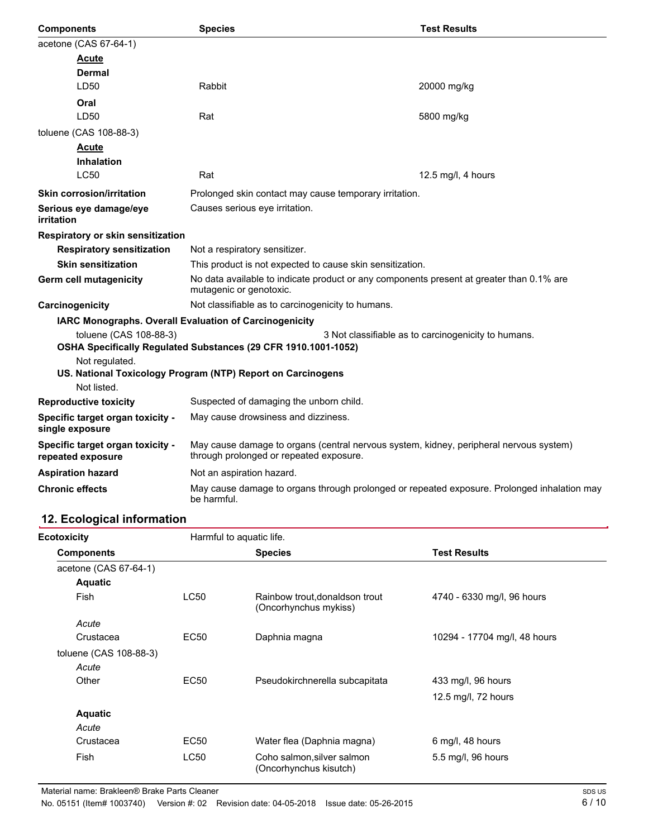| <b>Components</b>                                                                                                                               | <b>Species</b>                                                                                                                    | <b>Test Results</b> |  |
|-------------------------------------------------------------------------------------------------------------------------------------------------|-----------------------------------------------------------------------------------------------------------------------------------|---------------------|--|
| acetone (CAS 67-64-1)                                                                                                                           |                                                                                                                                   |                     |  |
| Acute                                                                                                                                           |                                                                                                                                   |                     |  |
| Dermal                                                                                                                                          |                                                                                                                                   |                     |  |
| LD <sub>50</sub>                                                                                                                                | Rabbit                                                                                                                            | 20000 mg/kg         |  |
| Oral                                                                                                                                            |                                                                                                                                   |                     |  |
| LD50                                                                                                                                            | Rat                                                                                                                               | 5800 mg/kg          |  |
| toluene (CAS 108-88-3)                                                                                                                          |                                                                                                                                   |                     |  |
| <b>Acute</b>                                                                                                                                    |                                                                                                                                   |                     |  |
| <b>Inhalation</b>                                                                                                                               |                                                                                                                                   |                     |  |
| <b>LC50</b>                                                                                                                                     | Rat                                                                                                                               | 12.5 mg/l, 4 hours  |  |
| <b>Skin corrosion/irritation</b>                                                                                                                | Prolonged skin contact may cause temporary irritation.                                                                            |                     |  |
| Serious eye damage/eye<br><i>irritation</i>                                                                                                     | Causes serious eye irritation.                                                                                                    |                     |  |
| Respiratory or skin sensitization                                                                                                               |                                                                                                                                   |                     |  |
| <b>Respiratory sensitization</b>                                                                                                                | Not a respiratory sensitizer.                                                                                                     |                     |  |
| <b>Skin sensitization</b>                                                                                                                       | This product is not expected to cause skin sensitization.                                                                         |                     |  |
| Germ cell mutagenicity                                                                                                                          | No data available to indicate product or any components present at greater than 0.1% are<br>mutagenic or genotoxic.               |                     |  |
| Carcinogenicity                                                                                                                                 | Not classifiable as to carcinogenicity to humans.                                                                                 |                     |  |
| IARC Monographs. Overall Evaluation of Carcinogenicity                                                                                          |                                                                                                                                   |                     |  |
| toluene (CAS 108-88-3)<br>3 Not classifiable as to carcinogenicity to humans.<br>OSHA Specifically Regulated Substances (29 CFR 1910.1001-1052) |                                                                                                                                   |                     |  |
| Not regulated.<br>US. National Toxicology Program (NTP) Report on Carcinogens                                                                   |                                                                                                                                   |                     |  |
| Not listed.                                                                                                                                     |                                                                                                                                   |                     |  |
| <b>Reproductive toxicity</b>                                                                                                                    | Suspected of damaging the unborn child.                                                                                           |                     |  |
| Specific target organ toxicity -<br>single exposure                                                                                             | May cause drowsiness and dizziness.                                                                                               |                     |  |
| Specific target organ toxicity -<br>repeated exposure                                                                                           | May cause damage to organs (central nervous system, kidney, peripheral nervous system)<br>through prolonged or repeated exposure. |                     |  |
| <b>Aspiration hazard</b>                                                                                                                        | Not an aspiration hazard.                                                                                                         |                     |  |
| <b>Chronic effects</b><br>May cause damage to organs through prolonged or repeated exposure. Prolonged inhalation may<br>be harmful.            |                                                                                                                                   |                     |  |

# **12. Ecological information**

| Ecotoxicity            |                  | Harmful to aquatic life.                                |                              |  |
|------------------------|------------------|---------------------------------------------------------|------------------------------|--|
| <b>Components</b>      |                  | <b>Species</b>                                          | <b>Test Results</b>          |  |
| acetone (CAS 67-64-1)  |                  |                                                         |                              |  |
| <b>Aquatic</b>         |                  |                                                         |                              |  |
| <b>Fish</b>            | <b>LC50</b>      | Rainbow trout, donaldson trout<br>(Oncorhynchus mykiss) | 4740 - 6330 mg/l, 96 hours   |  |
| Acute                  |                  |                                                         |                              |  |
| Crustacea              | EC <sub>50</sub> | Daphnia magna                                           | 10294 - 17704 mg/l, 48 hours |  |
| toluene (CAS 108-88-3) |                  |                                                         |                              |  |
| Acute                  |                  |                                                         |                              |  |
| Other                  | EC50             | Pseudokirchnerella subcapitata                          | 433 mg/l, 96 hours           |  |
|                        |                  |                                                         | 12.5 mg/l, 72 hours          |  |
| <b>Aquatic</b>         |                  |                                                         |                              |  |
| Acute                  |                  |                                                         |                              |  |
| Crustacea              | EC50             | Water flea (Daphnia magna)                              | $6$ mg/l, 48 hours           |  |
| <b>Fish</b>            | <b>LC50</b>      | Coho salmon, silver salmon<br>(Oncorhynchus kisutch)    | 5.5 mg/l, 96 hours           |  |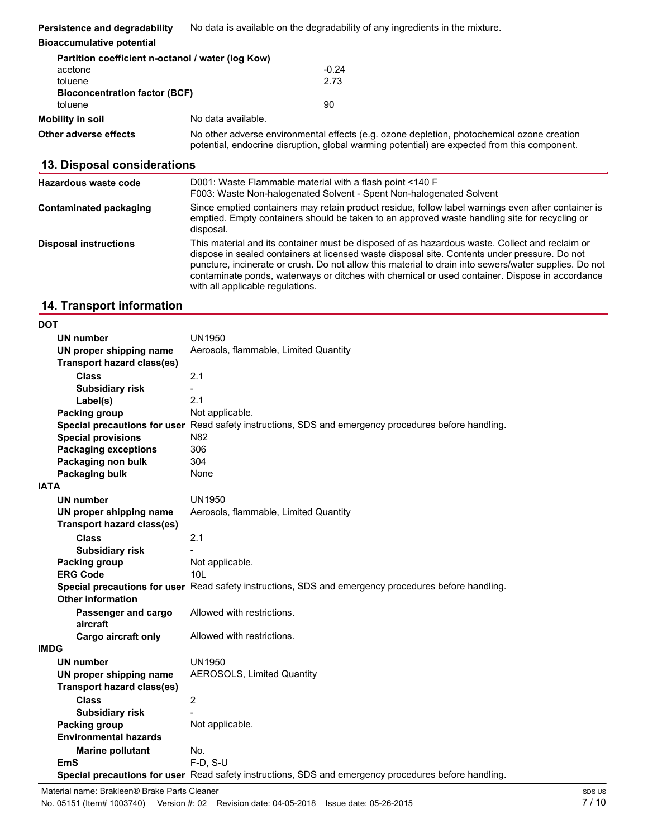| Persistence and degradability                     | No data is available on the degradability of any ingredients in the mixture. |  |
|---------------------------------------------------|------------------------------------------------------------------------------|--|
| <b>Bioaccumulative potential</b>                  |                                                                              |  |
| Partition coefficient n-octanol / water (log Kow) |                                                                              |  |
| acetone                                           | $-0.24$                                                                      |  |
| toluene                                           | 2.73                                                                         |  |
| <b>Bioconcentration factor (BCF)</b>              |                                                                              |  |

| toluene               | 90                                                                                                                                                                                         |  |
|-----------------------|--------------------------------------------------------------------------------------------------------------------------------------------------------------------------------------------|--|
| Mobility in soil      | No data available.                                                                                                                                                                         |  |
| Other adverse effects | No other adverse environmental effects (e.g. ozone depletion, photochemical ozone creation<br>potential, endocrine disruption, global warming potential) are expected from this component. |  |
|                       |                                                                                                                                                                                            |  |

# **13. Disposal considerations**

| Hazardous waste code          | D001: Waste Flammable material with a flash point <140 F<br>F003: Waste Non-halogenated Solvent - Spent Non-halogenated Solvent                                                                                                                                                                                                                                                                                                                |
|-------------------------------|------------------------------------------------------------------------------------------------------------------------------------------------------------------------------------------------------------------------------------------------------------------------------------------------------------------------------------------------------------------------------------------------------------------------------------------------|
| <b>Contaminated packaging</b> | Since emptied containers may retain product residue, follow label warnings even after container is<br>emptied. Empty containers should be taken to an approved waste handling site for recycling or<br>disposal.                                                                                                                                                                                                                               |
| <b>Disposal instructions</b>  | This material and its container must be disposed of as hazardous waste. Collect and reclaim or<br>dispose in sealed containers at licensed waste disposal site. Contents under pressure. Do not<br>puncture, incinerate or crush. Do not allow this material to drain into sewers/water supplies. Do not<br>contaminate ponds, waterways or ditches with chemical or used container. Dispose in accordance<br>with all applicable regulations. |
|                               |                                                                                                                                                                                                                                                                                                                                                                                                                                                |

### **14. Transport information**

**DOT**

| וטע         |                                   |                                                                                                      |
|-------------|-----------------------------------|------------------------------------------------------------------------------------------------------|
|             | <b>UN number</b>                  | <b>UN1950</b>                                                                                        |
|             | UN proper shipping name           | Aerosols, flammable, Limited Quantity                                                                |
|             | <b>Transport hazard class(es)</b> |                                                                                                      |
|             | <b>Class</b>                      | 2.1                                                                                                  |
|             | <b>Subsidiary risk</b>            |                                                                                                      |
|             | Label(s)                          | 2.1                                                                                                  |
|             | <b>Packing group</b>              | Not applicable.                                                                                      |
|             |                                   | Special precautions for user Read safety instructions, SDS and emergency procedures before handling. |
|             | <b>Special provisions</b>         | N82                                                                                                  |
|             | <b>Packaging exceptions</b>       | 306                                                                                                  |
|             | Packaging non bulk                | 304                                                                                                  |
|             | Packaging bulk                    | None                                                                                                 |
| <b>IATA</b> |                                   |                                                                                                      |
|             | <b>UN number</b>                  | <b>UN1950</b>                                                                                        |
|             | UN proper shipping name           | Aerosols, flammable, Limited Quantity                                                                |
|             | <b>Transport hazard class(es)</b> |                                                                                                      |
|             | <b>Class</b>                      | 2.1                                                                                                  |
|             | <b>Subsidiary risk</b>            |                                                                                                      |
|             | <b>Packing group</b>              | Not applicable.                                                                                      |
|             | <b>ERG Code</b>                   | 10 <sub>L</sub>                                                                                      |
|             |                                   | Special precautions for user Read safety instructions, SDS and emergency procedures before handling. |
|             | <b>Other information</b>          |                                                                                                      |
|             | Passenger and cargo               | Allowed with restrictions.                                                                           |
|             | aircraft                          |                                                                                                      |
|             | <b>Cargo aircraft only</b>        | Allowed with restrictions.                                                                           |
| <b>IMDG</b> |                                   |                                                                                                      |
|             | <b>UN number</b>                  | <b>UN1950</b>                                                                                        |
|             | UN proper shipping name           | <b>AEROSOLS, Limited Quantity</b>                                                                    |
|             | <b>Transport hazard class(es)</b> |                                                                                                      |
|             | <b>Class</b>                      | $\overline{c}$                                                                                       |
|             | <b>Subsidiary risk</b>            |                                                                                                      |
|             | Packing group                     | Not applicable.                                                                                      |
|             | <b>Environmental hazards</b>      |                                                                                                      |
|             | <b>Marine pollutant</b>           | No.                                                                                                  |
|             | EmS                               | $F-D. S-U$                                                                                           |
|             |                                   | Special precautions for user Read safety instructions, SDS and emergency procedures before handling. |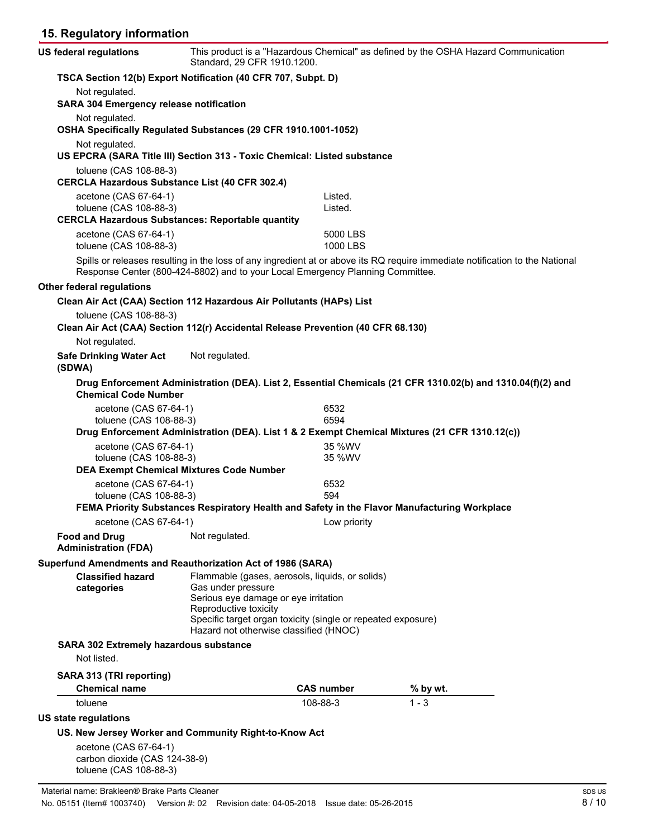# **15. Regulatory information**

| US federal regulations                                                                                     | Standard, 29 CFR 1910.1200.                                                                            |                      | This product is a "Hazardous Chemical" as defined by the OSHA Hazard Communication                                           |
|------------------------------------------------------------------------------------------------------------|--------------------------------------------------------------------------------------------------------|----------------------|------------------------------------------------------------------------------------------------------------------------------|
| TSCA Section 12(b) Export Notification (40 CFR 707, Subpt. D)                                              |                                                                                                        |                      |                                                                                                                              |
| Not regulated.<br><b>SARA 304 Emergency release notification</b>                                           |                                                                                                        |                      |                                                                                                                              |
| Not regulated.<br>OSHA Specifically Regulated Substances (29 CFR 1910.1001-1052)                           |                                                                                                        |                      |                                                                                                                              |
| Not regulated.<br>US EPCRA (SARA Title III) Section 313 - Toxic Chemical: Listed substance                 |                                                                                                        |                      |                                                                                                                              |
| toluene (CAS 108-88-3)<br><b>CERCLA Hazardous Substance List (40 CFR 302.4)</b>                            |                                                                                                        |                      |                                                                                                                              |
| acetone (CAS 67-64-1)<br>toluene (CAS 108-88-3)                                                            |                                                                                                        | Listed.<br>Listed.   |                                                                                                                              |
| <b>CERCLA Hazardous Substances: Reportable quantity</b>                                                    |                                                                                                        |                      |                                                                                                                              |
| acetone (CAS 67-64-1)<br>toluene (CAS 108-88-3)                                                            |                                                                                                        | 5000 LBS<br>1000 LBS |                                                                                                                              |
|                                                                                                            | Response Center (800-424-8802) and to your Local Emergency Planning Committee.                         |                      | Spills or releases resulting in the loss of any ingredient at or above its RQ require immediate notification to the National |
| <b>Other federal regulations</b>                                                                           |                                                                                                        |                      |                                                                                                                              |
| Clean Air Act (CAA) Section 112 Hazardous Air Pollutants (HAPs) List                                       |                                                                                                        |                      |                                                                                                                              |
| toluene (CAS 108-88-3)<br>Clean Air Act (CAA) Section 112(r) Accidental Release Prevention (40 CFR 68.130) |                                                                                                        |                      |                                                                                                                              |
| Not regulated.                                                                                             |                                                                                                        |                      |                                                                                                                              |
| <b>Safe Drinking Water Act</b><br>(SDWA)                                                                   | Not regulated.                                                                                         |                      |                                                                                                                              |
| <b>Chemical Code Number</b>                                                                                |                                                                                                        |                      | Drug Enforcement Administration (DEA). List 2, Essential Chemicals (21 CFR 1310.02(b) and 1310.04(f)(2) and                  |
| acetone (CAS 67-64-1)<br>toluene (CAS 108-88-3)                                                            |                                                                                                        | 6532<br>6594         |                                                                                                                              |
|                                                                                                            |                                                                                                        |                      | Drug Enforcement Administration (DEA). List 1 & 2 Exempt Chemical Mixtures (21 CFR 1310.12(c))                               |
| acetone (CAS 67-64-1)<br>toluene (CAS 108-88-3)                                                            |                                                                                                        | 35 %WV<br>35 %WV     |                                                                                                                              |
| <b>DEA Exempt Chemical Mixtures Code Number</b>                                                            |                                                                                                        |                      |                                                                                                                              |
| acetone (CAS 67-64-1)                                                                                      |                                                                                                        | 6532                 |                                                                                                                              |
| toluene (CAS 108-88-3)                                                                                     |                                                                                                        | 594                  |                                                                                                                              |
|                                                                                                            | FEMA Priority Substances Respiratory Health and Safety in the Flavor Manufacturing Workplace           |                      |                                                                                                                              |
| acetone (CAS 67-64-1)                                                                                      |                                                                                                        | Low priority         |                                                                                                                              |
| <b>Food and Drug</b><br><b>Administration (FDA)</b>                                                        | Not regulated.                                                                                         |                      |                                                                                                                              |
| Superfund Amendments and Reauthorization Act of 1986 (SARA)                                                |                                                                                                        |                      |                                                                                                                              |
| <b>Classified hazard</b>                                                                                   | Flammable (gases, aerosols, liquids, or solids)                                                        |                      |                                                                                                                              |
| categories                                                                                                 | Gas under pressure<br>Serious eye damage or eye irritation<br>Reproductive toxicity                    |                      |                                                                                                                              |
|                                                                                                            | Specific target organ toxicity (single or repeated exposure)<br>Hazard not otherwise classified (HNOC) |                      |                                                                                                                              |
| SARA 302 Extremely hazardous substance<br>Not listed.                                                      |                                                                                                        |                      |                                                                                                                              |
| SARA 313 (TRI reporting)                                                                                   |                                                                                                        |                      |                                                                                                                              |
| <b>Chemical name</b>                                                                                       |                                                                                                        | <b>CAS number</b>    | % by wt.                                                                                                                     |
| toluene                                                                                                    |                                                                                                        | 108-88-3             | $1 - 3$                                                                                                                      |
| US state regulations                                                                                       |                                                                                                        |                      |                                                                                                                              |
| US. New Jersey Worker and Community Right-to-Know Act                                                      |                                                                                                        |                      |                                                                                                                              |
|                                                                                                            |                                                                                                        |                      |                                                                                                                              |
| acetone (CAS 67-64-1)<br>carbon dioxide (CAS 124-38-9)<br>toluene (CAS 108-88-3)                           |                                                                                                        |                      |                                                                                                                              |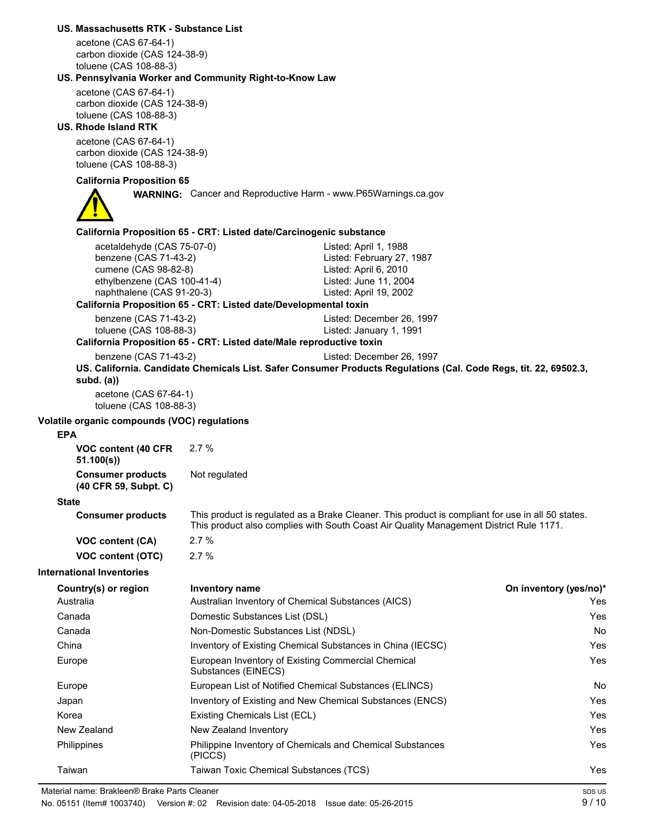|                             | US. Massachusetts RTK - Substance List                  |                                                                                                                                                                                             |                        |
|-----------------------------|---------------------------------------------------------|---------------------------------------------------------------------------------------------------------------------------------------------------------------------------------------------|------------------------|
|                             | acetone (CAS 67-64-1)<br>carbon dioxide (CAS 124-38-9)  |                                                                                                                                                                                             |                        |
|                             | toluene (CAS 108-88-3)                                  |                                                                                                                                                                                             |                        |
|                             | US. Pennsylvania Worker and Community Right-to-Know Law |                                                                                                                                                                                             |                        |
|                             | acetone (CAS 67-64-1)<br>carbon dioxide (CAS 124-38-9)  |                                                                                                                                                                                             |                        |
|                             | toluene (CAS 108-88-3)                                  |                                                                                                                                                                                             |                        |
| <b>US. Rhode Island RTK</b> |                                                         |                                                                                                                                                                                             |                        |
|                             | acetone (CAS 67-64-1)                                   |                                                                                                                                                                                             |                        |
|                             | carbon dioxide (CAS 124-38-9)<br>toluene (CAS 108-88-3) |                                                                                                                                                                                             |                        |
|                             | <b>California Proposition 65</b>                        |                                                                                                                                                                                             |                        |
|                             |                                                         | <b>WARNING:</b> Cancer and Reproductive Harm - www.P65Warnings.ca.gov                                                                                                                       |                        |
|                             |                                                         |                                                                                                                                                                                             |                        |
|                             |                                                         | California Proposition 65 - CRT: Listed date/Carcinogenic substance                                                                                                                         |                        |
|                             | acetaldehyde (CAS 75-07-0)                              | Listed: April 1, 1988                                                                                                                                                                       |                        |
|                             | benzene (CAS 71-43-2)<br>cumene (CAS 98-82-8)           | Listed: February 27, 1987<br>Listed: April 6, 2010                                                                                                                                          |                        |
|                             | ethylbenzene (CAS 100-41-4)                             | Listed: June 11, 2004                                                                                                                                                                       |                        |
|                             | naphthalene (CAS 91-20-3)                               | Listed: April 19, 2002                                                                                                                                                                      |                        |
|                             |                                                         | California Proposition 65 - CRT: Listed date/Developmental toxin                                                                                                                            |                        |
|                             | benzene (CAS 71-43-2)<br>toluene (CAS 108-88-3)         | Listed: December 26, 1997<br>Listed: January 1, 1991                                                                                                                                        |                        |
|                             |                                                         | California Proposition 65 - CRT: Listed date/Male reproductive toxin                                                                                                                        |                        |
|                             | benzene (CAS 71-43-2)                                   | Listed: December 26, 1997                                                                                                                                                                   |                        |
|                             | subd. $(a)$                                             | US. California. Candidate Chemicals List. Safer Consumer Products Regulations (Cal. Code Regs, tit. 22, 69502.3,                                                                            |                        |
|                             | acetone (CAS 67-64-1)<br>toluene (CAS 108-88-3)         |                                                                                                                                                                                             |                        |
| <b>EPA</b>                  | Volatile organic compounds (VOC) regulations            |                                                                                                                                                                                             |                        |
|                             | VOC content (40 CFR                                     | 2.7%                                                                                                                                                                                        |                        |
|                             | 51.100(s)                                               |                                                                                                                                                                                             |                        |
|                             | <b>Consumer products</b>                                | Not regulated                                                                                                                                                                               |                        |
|                             | (40 CFR 59, Subpt. C)                                   |                                                                                                                                                                                             |                        |
| State                       |                                                         |                                                                                                                                                                                             |                        |
|                             | <b>Consumer products</b>                                | This product is regulated as a Brake Cleaner. This product is compliant for use in all 50 states.<br>This product also complies with South Coast Air Quality Management District Rule 1171. |                        |
|                             | VOC content (CA)                                        | 2.7%                                                                                                                                                                                        |                        |
|                             | <b>VOC content (OTC)</b>                                | 2.7%                                                                                                                                                                                        |                        |
|                             | <b>International Inventories</b>                        |                                                                                                                                                                                             |                        |
|                             | Country(s) or region                                    | <b>Inventory name</b>                                                                                                                                                                       | On inventory (yes/no)* |
| Australia                   |                                                         | Australian Inventory of Chemical Substances (AICS)                                                                                                                                          | Yes                    |
| Canada                      |                                                         | Domestic Substances List (DSL)                                                                                                                                                              | Yes                    |
| Canada                      |                                                         | Non-Domestic Substances List (NDSL)                                                                                                                                                         | No                     |
| China                       |                                                         | Inventory of Existing Chemical Substances in China (IECSC)                                                                                                                                  | Yes                    |
| Europe                      |                                                         | European Inventory of Existing Commercial Chemical<br>Substances (EINECS)                                                                                                                   | Yes                    |
| Europe                      |                                                         | European List of Notified Chemical Substances (ELINCS)                                                                                                                                      | No                     |
| Japan                       |                                                         | Inventory of Existing and New Chemical Substances (ENCS)                                                                                                                                    | Yes                    |
| Korea                       |                                                         | Existing Chemicals List (ECL)                                                                                                                                                               | Yes                    |
| New Zealand                 |                                                         | New Zealand Inventory                                                                                                                                                                       | Yes                    |
| Philippines                 |                                                         | Philippine Inventory of Chemicals and Chemical Substances<br>(PICCS)                                                                                                                        | Yes                    |
| Taiwan                      |                                                         | Taiwan Toxic Chemical Substances (TCS)                                                                                                                                                      | Yes                    |
|                             | Material name: Brakleen® Brake Parts Cleaner            |                                                                                                                                                                                             | SDS US                 |